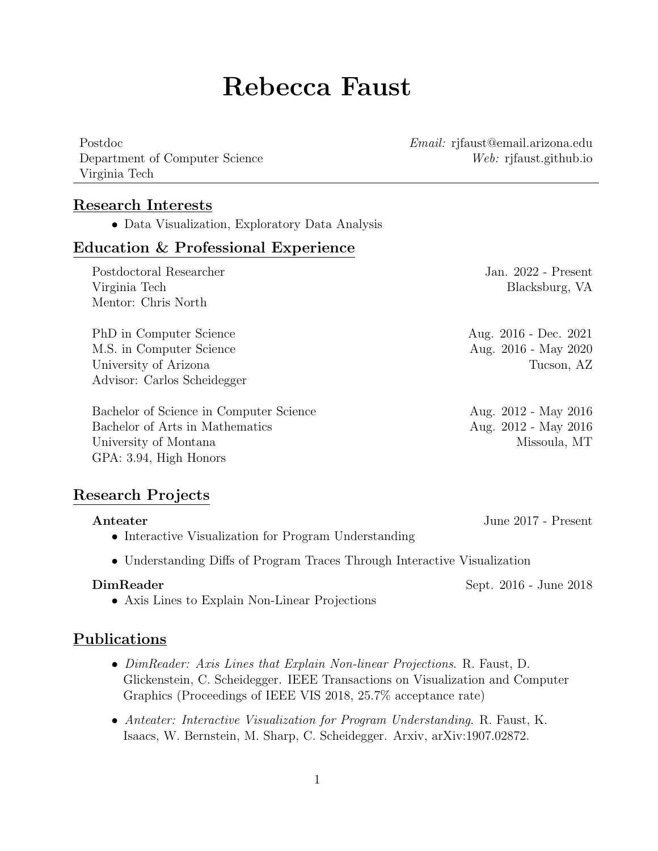# Rebecca Faust

Department of Computer Science Web: rjfaust.github.io Virginia Tech

Postdoc Email: rjfaust@email.arizona.edu

### Research Interests

• Data Visualization, Exploratory Data Analysis

#### Education & Professional Experience

| Postdoctoral Researcher                 | Jan. $2022$ - Present    |
|-----------------------------------------|--------------------------|
| Virginia Tech                           | Blacksburg, VA           |
| Mentor: Chris North                     |                          |
| PhD in Computer Science                 | Aug. 2016 - Dec. 2021    |
| M.S. in Computer Science                | Aug. 2016 - May 2020     |
| University of Arizona                   | Tucson, AZ               |
| Advisor: Carlos Scheidegger             |                          |
| Bachelor of Science in Computer Science | Aug. 2012 - May 2016     |
| Bachelor of Arts in Mathematics         | Aug. $2012$ - May $2016$ |
| University of Montana                   | Missoula, MT             |
| GPA: 3.94, High Honors                  |                          |

#### Research Projects

| Anteater                                                                  | June 2017 - Present |
|---------------------------------------------------------------------------|---------------------|
| • Interactive Visualization for Program Understanding                     |                     |
| • Understanding Diffs of Program Traces Through Interactive Visualization |                     |

DimReader Sept. 2016 - June 2018

• Axis Lines to Explain Non-Linear Projections

### Publications

- DimReader: Axis Lines that Explain Non-linear Projections. R. Faust, D. Glickenstein, C. Scheidegger. IEEE Transactions on Visualization and Computer Graphics (Proceedings of IEEE VIS 2018, 25.7% acceptance rate)
- Anteater: Interactive Visualization for Program Understanding. R. Faust, K. Isaacs, W. Bernstein, M. Sharp, C. Scheidegger. Arxiv, arXiv:1907.02872.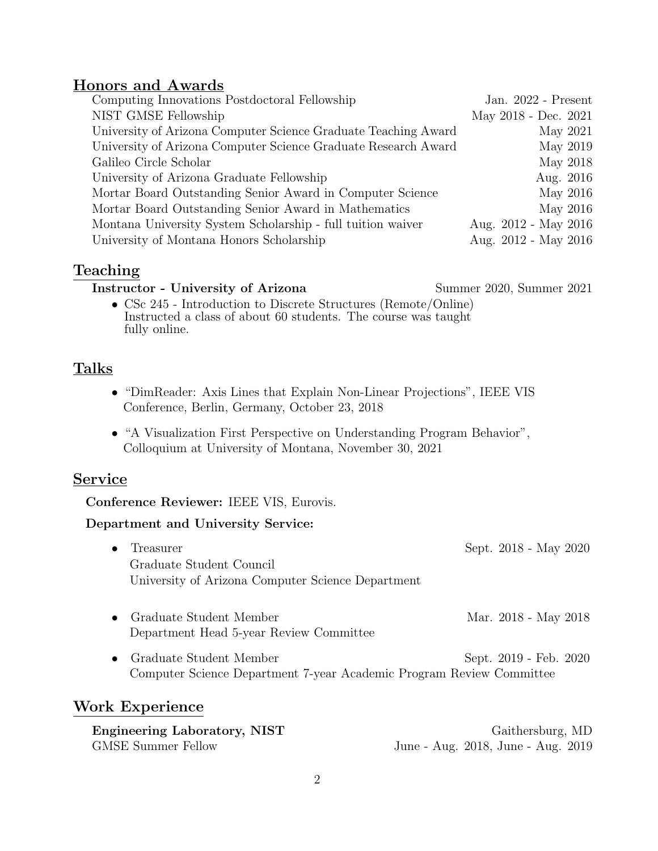### Honors and Awards

| Computing Innovations Postdoctoral Fellowship                  | Jan. 2022 - Present  |
|----------------------------------------------------------------|----------------------|
| NIST GMSE Fellowship                                           | May 2018 - Dec. 2021 |
| University of Arizona Computer Science Graduate Teaching Award | May 2021             |
| University of Arizona Computer Science Graduate Research Award | May 2019             |
| Galileo Circle Scholar                                         | May 2018             |
| University of Arizona Graduate Fellowship                      | Aug. 2016            |
| Mortar Board Outstanding Senior Award in Computer Science      | May 2016             |
| Mortar Board Outstanding Senior Award in Mathematics           | May 2016             |
| Montana University System Scholarship - full tuition waiver    | Aug. 2012 - May 2016 |
| University of Montana Honors Scholarship                       | Aug. 2012 - May 2016 |

# Teaching

#### Instructor - University of Arizona Summer 2020, Summer 2021

• CSc 245 - Introduction to Discrete Structures (Remote/Online) Instructed a class of about 60 students. The course was taught fully online.

# Talks

- "DimReader: Axis Lines that Explain Non-Linear Projections", IEEE VIS Conference, Berlin, Germany, October 23, 2018
- "A Visualization First Perspective on Understanding Program Behavior", Colloquium at University of Montana, November 30, 2021

### **Service**

Conference Reviewer: IEEE VIS, Eurovis.

#### Department and University Service:

- Treasurer Sept. 2018 May 2020 Graduate Student Council University of Arizona Computer Science Department
- Graduate Student Member Mar. 2018 May 2018 Department Head 5-year Review Committee
- Graduate Student Member Sept. 2019 Feb. 2020 Computer Science Department 7-year Academic Program Review Committee

### Work Experience

| Engineering Laboratory, NIST | Gaithersburg, MD                   |
|------------------------------|------------------------------------|
| GMSE Summer Fellow           | June - Aug. 2018, June - Aug. 2019 |